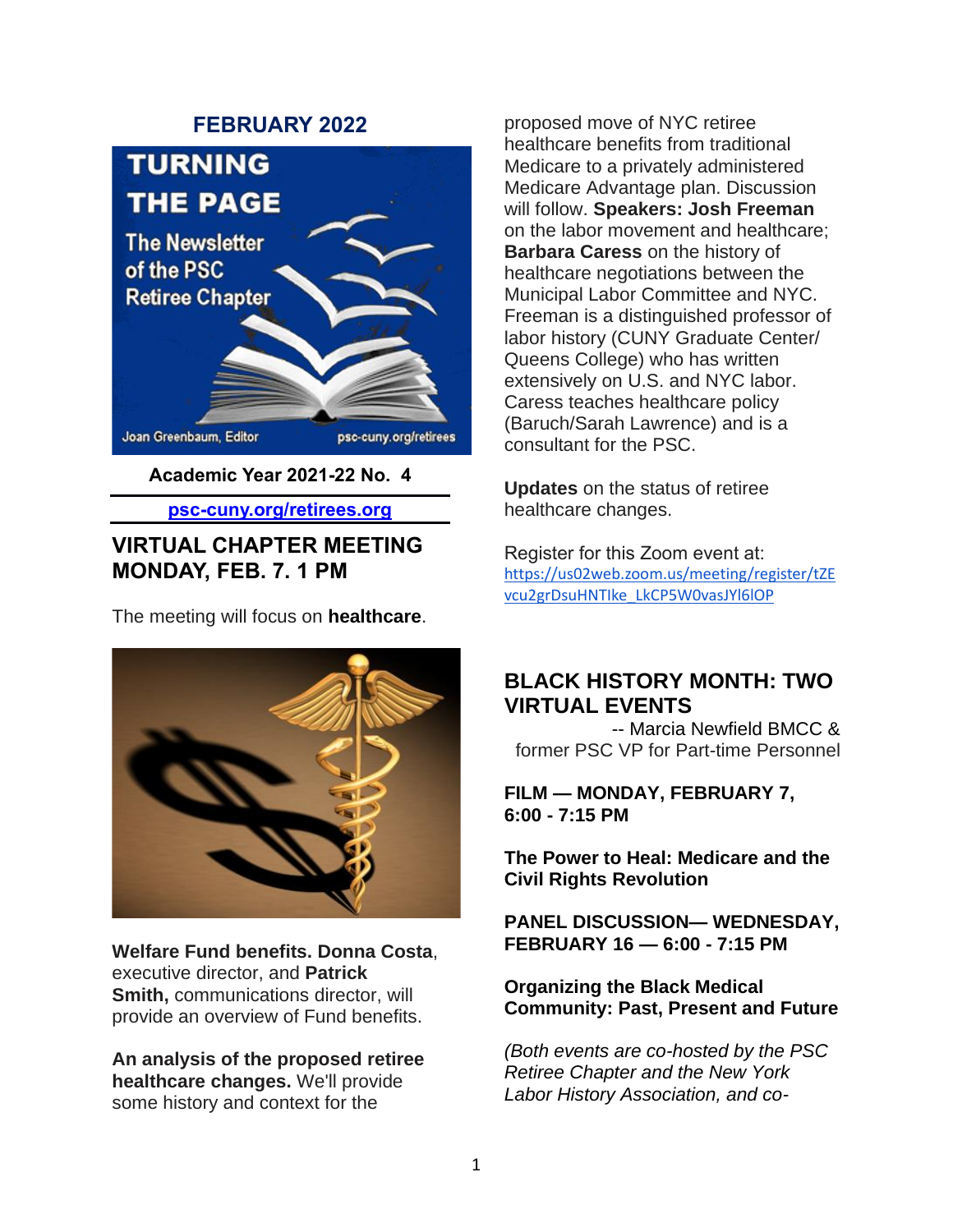#### **FEBRUARY 2022**



**Academic Year 2021-22 No. 4**

**psc-cuny.org/retirees.org**

## **VIRTUAL CHAPTER MEETING MONDAY, FEB. 7. 1 PM**

The meeting will focus on **healthcare**.



**Welfare Fund benefits. Donna Costa**, executive director, and **Patrick Smith,** communications director, will provide an overview of Fund benefits.

**An analysis of the proposed retiree healthcare changes.** We'll provide some history and context for the

proposed move of NYC retiree healthcare benefits from traditional Medicare to a privately administered Medicare Advantage plan. Discussion will follow. **Speakers: Josh Freeman** on the labor movement and healthcare; **Barbara Caress** on the history of healthcare negotiations between the Municipal Labor Committee and NYC. Freeman is a distinguished professor of labor history (CUNY Graduate Center/ Queens College) who has written extensively on U.S. and NYC labor. Caress teaches healthcare policy (Baruch/Sarah Lawrence) and is a consultant for the PSC.

**Updates** on the status of retiree healthcare changes.

Register for this Zoom event at: [https://us02web.zoom.us/meeting/register/tZE](https://us02web.zoom.us/meeting/register/tZEvcu2grDsuHNTIke_LkCP5W0vasJYl6lOP) [vcu2grDsuHNTIke\\_LkCP5W0vasJYl6lOP](https://us02web.zoom.us/meeting/register/tZEvcu2grDsuHNTIke_LkCP5W0vasJYl6lOP)

## **BLACK HISTORY MONTH: TWO VIRTUAL EVENTS**

-- Marcia Newfield BMCC & former PSC VP for Part-time Personnel

**FILM — MONDAY, FEBRUARY 7, 6:00 - 7:15 PM**

**The Power to Heal: Medicare and the Civil Rights Revolution**

**PANEL DISCUSSION— WEDNESDAY, FEBRUARY 16 — 6:00 - 7:15 PM**

**Organizing the Black Medical Community: Past, Present and Future**

*(Both events are co-hosted by the PSC Retiree Chapter and the New York Labor History Association, and co-*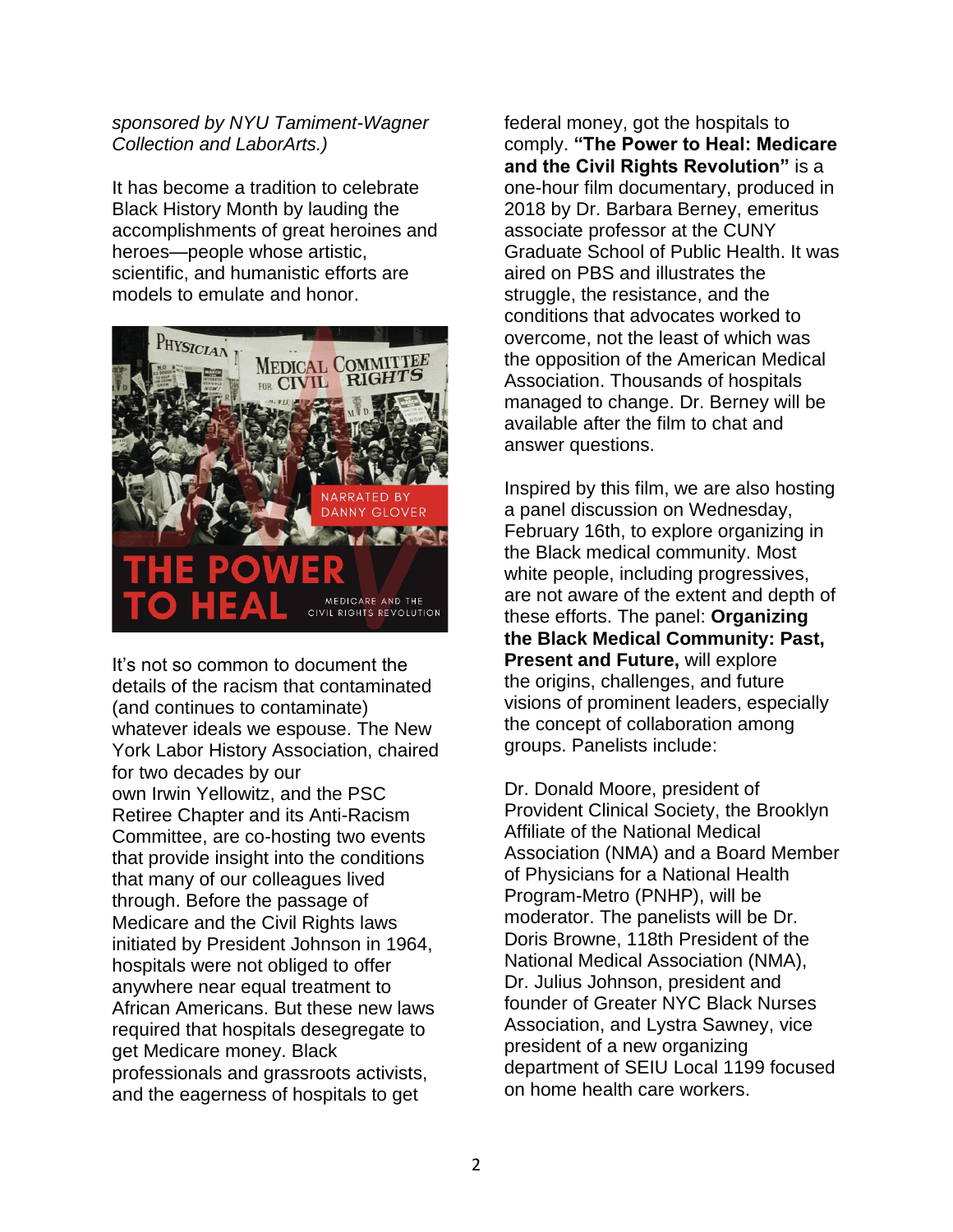#### *sponsored by NYU Tamiment-Wagner Collection and LaborArts.)*

It has become a tradition to celebrate Black History Month by lauding the accomplishments of great heroines and heroes—people whose artistic, scientific, and humanistic efforts are models to emulate and honor.



It's not so common to document the details of the racism that contaminated (and continues to contaminate) whatever ideals we espouse. The New York Labor History Association, chaired for two decades by our own Irwin Yellowitz, and the PSC Retiree Chapter and its Anti-Racism Committee, are co-hosting two events that provide insight into the conditions that many of our colleagues lived through. Before the passage of Medicare and the Civil Rights laws initiated by President Johnson in 1964, hospitals were not obliged to offer anywhere near equal treatment to African Americans. But these new laws required that hospitals desegregate to get Medicare money. Black professionals and grassroots activists, and the eagerness of hospitals to get

federal money, got the hospitals to comply. **"The Power to Heal: Medicare and the Civil Rights Revolution"** is a one-hour film documentary, produced in 2018 by Dr. Barbara Berney, emeritus associate professor at the CUNY Graduate School of Public Health. It was aired on PBS and illustrates the struggle, the resistance, and the conditions that advocates worked to overcome, not the least of which was the opposition of the American Medical Association. Thousands of hospitals managed to change. Dr. Berney will be available after the film to chat and answer questions.

Inspired by this film, we are also hosting a panel discussion on Wednesday, February 16th, to explore organizing in the Black medical community. Most white people, including progressives, are not aware of the extent and depth of these efforts. The panel: **Organizing the Black Medical Community: Past, Present and Future,** will explore the origins, challenges, and future visions of prominent leaders, especially the concept of collaboration among groups. Panelists include:

Dr. Donald Moore, president of Provident Clinical Society, the Brooklyn Affiliate of the National Medical Association (NMA) and a Board Member of Physicians for a National Health Program-Metro (PNHP), will be moderator. The panelists will be Dr. Doris Browne, 118th President of the National Medical Association (NMA), Dr. Julius Johnson, president and founder of Greater NYC Black Nurses Association, and Lystra Sawney, vice president of a new organizing department of SEIU Local 1199 focused on home health care workers.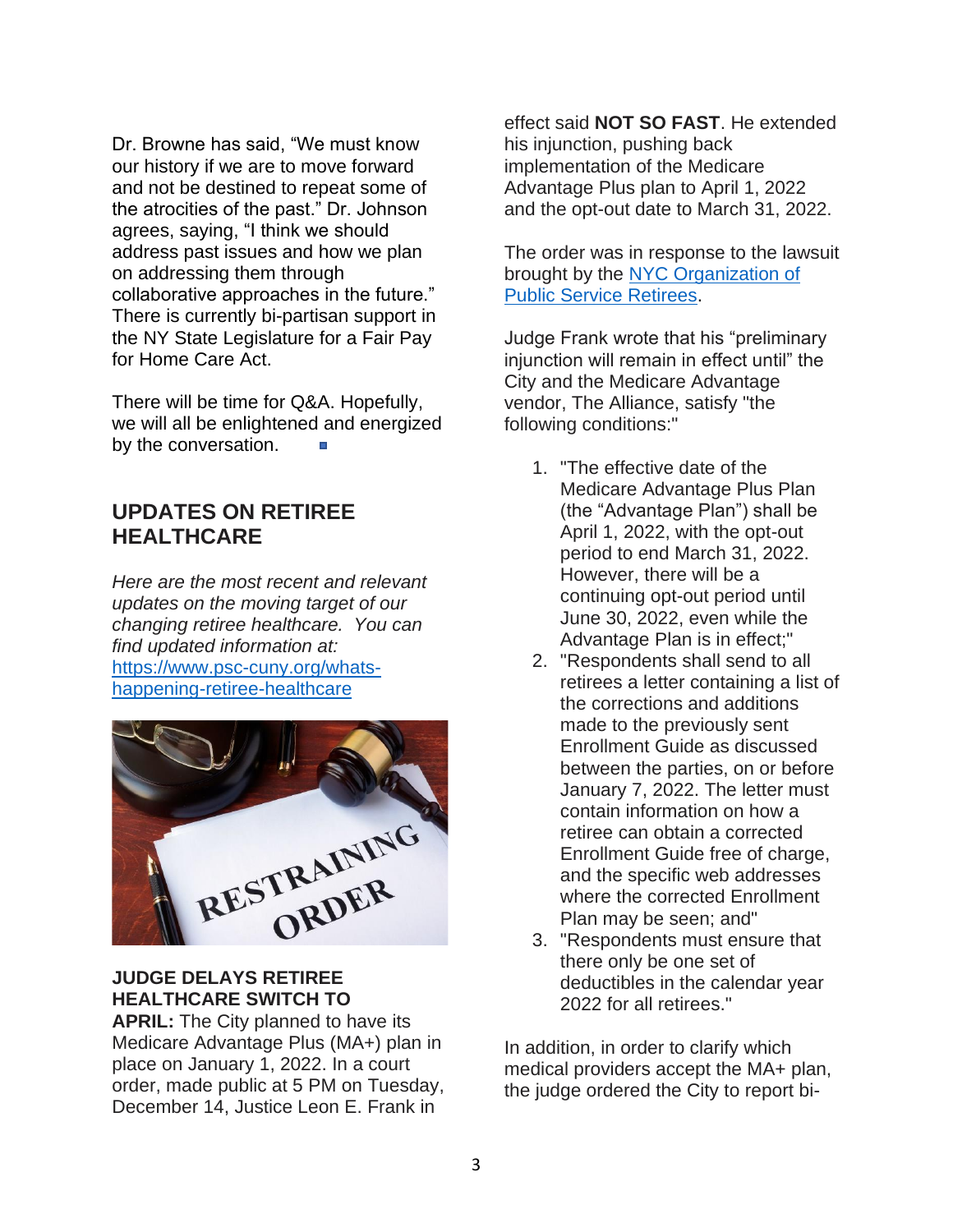Dr. Browne has said, "We must know our history if we are to move forward and not be destined to repeat some of the atrocities of the past." Dr. Johnson agrees, saying, "I think we should address past issues and how we plan on addressing them through collaborative approaches in the future." There is currently bi-partisan support in the NY State Legislature for a Fair Pay for Home Care Act.

There will be time for Q&A. Hopefully, we will all be enlightened and energized by the conversation.

### **UPDATES ON RETIREE HEALTHCARE**

*Here are the most recent and relevant updates on the moving target of our changing retiree healthcare. You can find updated information at:* [https://www.psc-cuny.org/whats](https://www.psc-cuny.org/whats-happening-retiree-healthcare)[happening-retiree-healthcare](https://www.psc-cuny.org/whats-happening-retiree-healthcare)



### **JUDGE DELAYS RETIREE HEALTHCARE SWITCH TO**

**APRIL:** The City planned to have its Medicare Advantage Plus (MA+) plan in place on January 1, 2022. In a court order, made public at 5 PM on Tuesday, December 14, Justice Leon E. Frank in

effect said **NOT SO FAST**. He extended his injunction, pushing back implementation of the Medicare Advantage Plus plan to April 1, 2022 and the opt-out date to March 31, 2022.

The order was in response to the lawsuit brought by the NYC Organization of [Public Service Retirees.](https://www.facebook.com/groups/888622578669131)

Judge Frank wrote that his "preliminary injunction will remain in effect until" the City and the Medicare Advantage vendor, The Alliance, satisfy "the following conditions:"

- 1. "The effective date of the Medicare Advantage Plus Plan (the "Advantage Plan") shall be April 1, 2022, with the opt-out period to end March 31, 2022. However, there will be a continuing opt-out period until June 30, 2022, even while the Advantage Plan is in effect;"
- 2. "Respondents shall send to all retirees a letter containing a list of the corrections and additions made to the previously sent Enrollment Guide as discussed between the parties, on or before January 7, 2022. The letter must contain information on how a retiree can obtain a corrected Enrollment Guide free of charge, and the specific web addresses where the corrected Enrollment Plan may be seen; and"
- 3. "Respondents must ensure that there only be one set of deductibles in the calendar year 2022 for all retirees."

In addition, in order to clarify which medical providers accept the MA+ plan, the judge ordered the City to report bi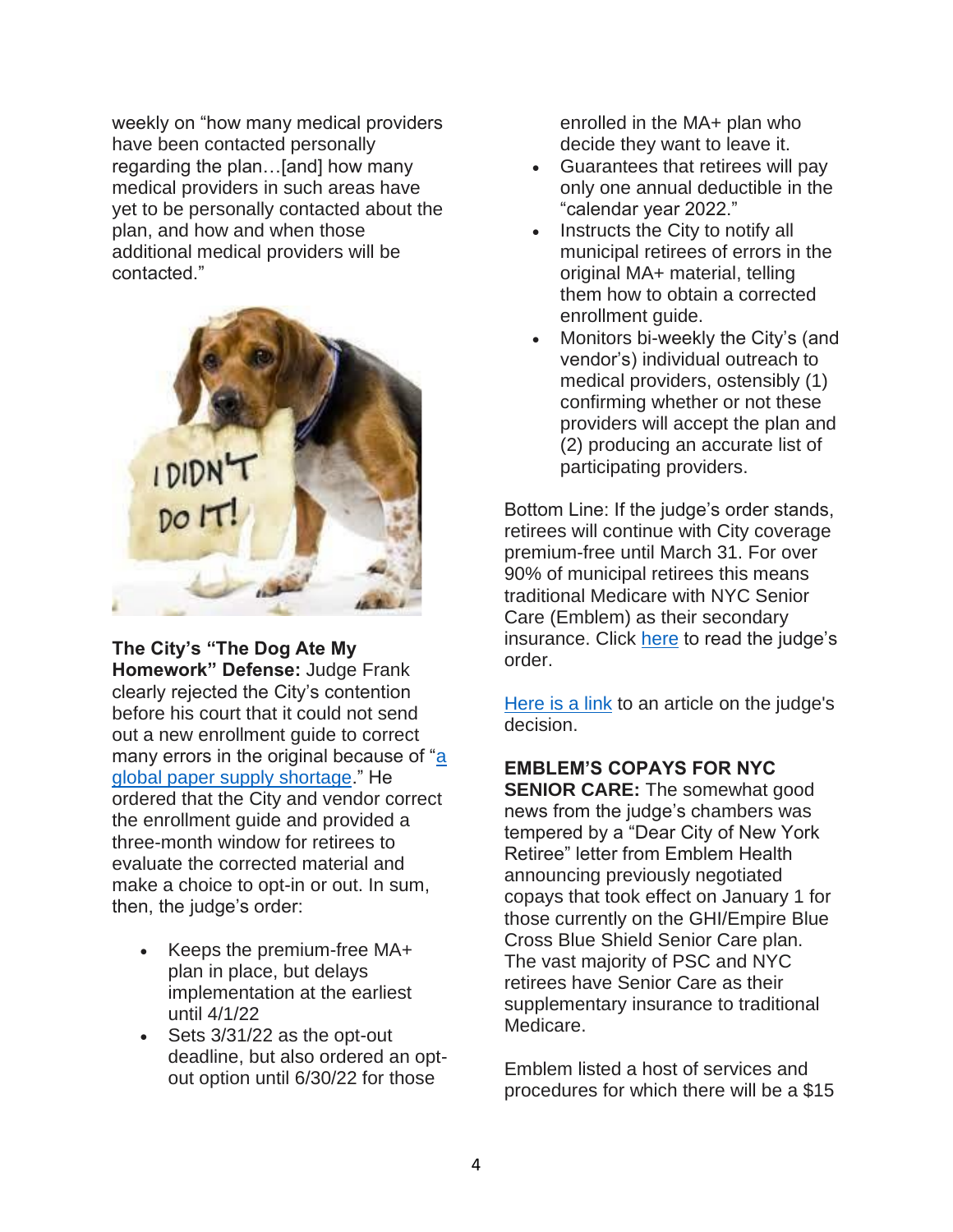weekly on "how many medical providers have been contacted personally regarding the plan…[and] how many medical providers in such areas have yet to be personally contacted about the plan, and how and when those additional medical providers will be contacted."



**The City's "The Dog Ate My Homework" Defense:** Judge Frank clearly rejected the City's contention before his court that it could not send out a new enrollment guide to correct many errors in the original because of "a" [global paper supply shortage.](https://www.nydailynews.com/news/politics/new-york-elections-government/ny-nyc-de-blasio-blames-global-paper-shortage-city-retirees-health-plan-info-20211209-z5rh4ouc3nc7tacxvakx7ojbei-story.html)" He ordered that the City and vendor correct the enrollment guide and provided a three-month window for retirees to evaluate the corrected material and make a choice to opt-in or out. In sum, then, the judge's order:

- Keeps the premium-free MA+ plan in place, but delays implementation at the earliest until 4/1/22
- Sets 3/31/22 as the opt-out deadline, but also ordered an optout option until 6/30/22 for those

enrolled in the MA+ plan who decide they want to leave it.

- Guarantees that retirees will pay only one annual deductible in the "calendar year 2022."
- Instructs the City to notify all municipal retirees of errors in the original MA+ material, telling them how to obtain a corrected enrollment guide.
- Monitors bi-weekly the City's (and vendor's) individual outreach to medical providers, ostensibly (1) confirming whether or not these providers will accept the plan and (2) producing an accurate list of participating providers.

Bottom Line: If the judge's order stands, retirees will continue with City coverage premium-free until March 31. For over 90% of municipal retirees this means traditional Medicare with NYC Senior Care (Emblem) as their secondary insurance. Click [here](https://www.psc-cuny.org/sites/default/files/158815_2021_NYC_ORGANIZATION_OF_PU_v_NYC_ORGANIZATION_OF_PU_ORDER___INTERIM__MO_166.pdf) to read the judge's order.

[Here is a link](https://www.nysfocus.com/2021/12/14/judge-orders-city-to-delay-retiree-health-care-switch/) to an article on the judge's decision.

# **EMBLEM'S COPAYS FOR NYC SENIOR CARE:** The somewhat good

news from the judge's chambers was tempered by a "Dear City of New York Retiree" letter from Emblem Health announcing previously negotiated copays that took effect on January 1 for those currently on the GHI/Empire Blue Cross Blue Shield Senior Care plan. The vast majority of PSC and NYC retirees have Senior Care as their supplementary insurance to traditional Medicare.

Emblem listed a host of services and procedures for which there will be a \$15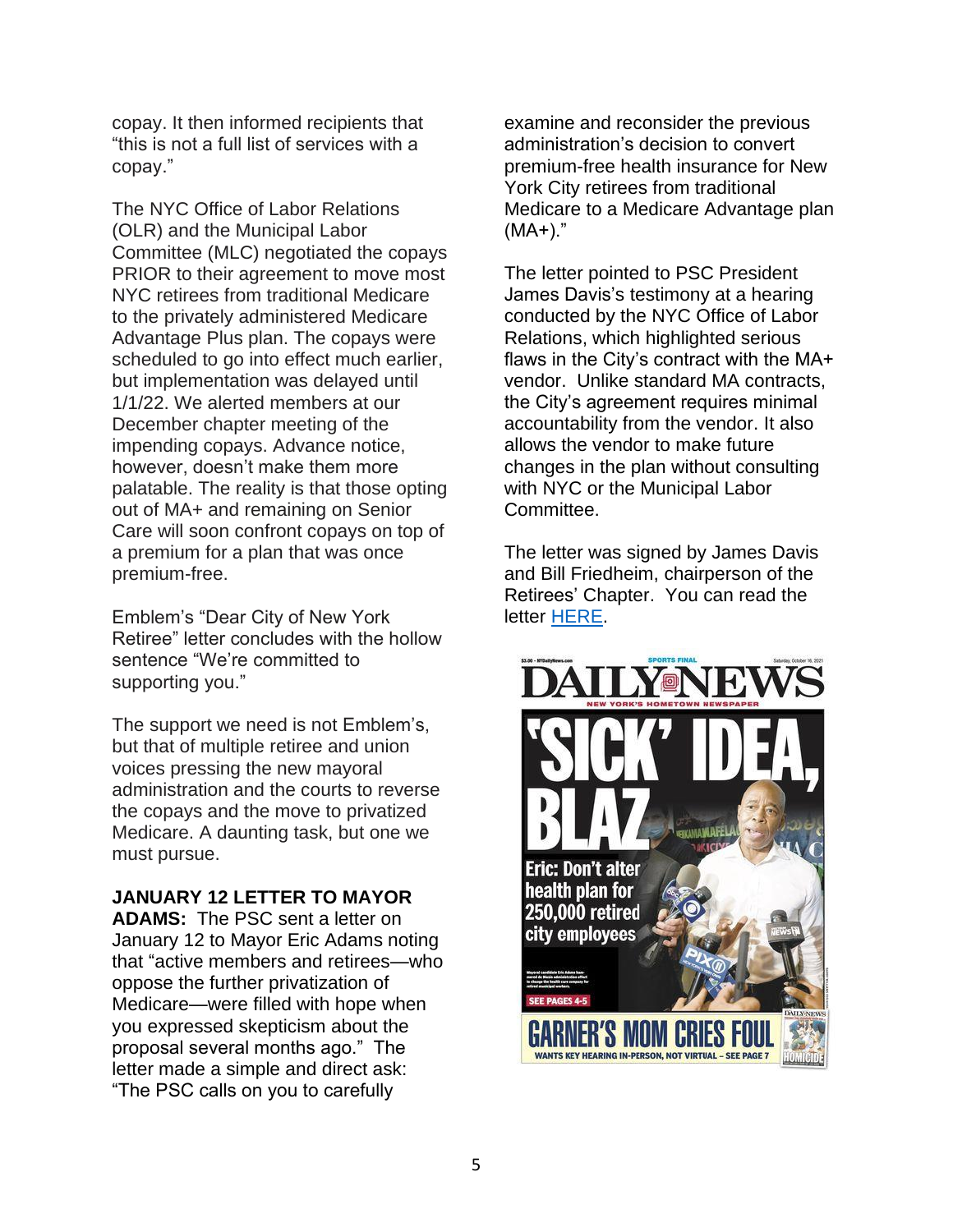copay. It then informed recipients that "this is not a full list of services with a copay."

The NYC Office of Labor Relations (OLR) and the Municipal Labor Committee (MLC) negotiated the copays PRIOR to their agreement to move most NYC retirees from traditional Medicare to the privately administered Medicare Advantage Plus plan. The copays were scheduled to go into effect much earlier, but implementation was delayed until 1/1/22. We alerted members at our December chapter meeting of the impending copays. Advance notice, however, doesn't make them more palatable. The reality is that those opting out of MA+ and remaining on Senior Care will soon confront copays on top of a premium for a plan that was once premium-free.

Emblem's "Dear City of New York Retiree" letter concludes with the hollow sentence "We're committed to supporting you."

The support we need is not Emblem's, but that of multiple retiree and union voices pressing the new mayoral administration and the courts to reverse the copays and the move to privatized Medicare. A daunting task, but one we must pursue.

**JANUARY 12 LETTER TO MAYOR ADAMS:** The PSC sent a letter on January 12 to Mayor Eric Adams noting that "active members and retirees—who oppose the further privatization of Medicare—were filled with hope when you expressed skepticism about the proposal several months ago." The letter made a simple and direct ask: "The PSC calls on you to carefully

examine and reconsider the previous administration's decision to convert premium-free health insurance for New York City retirees from traditional Medicare to a Medicare Advantage plan (MA+)."

The letter pointed to PSC President James Davis's testimony at a hearing conducted by the NYC Office of Labor Relations, which highlighted serious flaws in the City's contract with the MA+ vendor. Unlike standard MA contracts, the City's agreement requires minimal accountability from the vendor. It also allows the vendor to make future changes in the plan without consulting with NYC or the Municipal Labor Committee.

The letter was signed by James Davis and Bill Friedheim, chairperson of the Retirees' Chapter. You can read the letter [HERE.](https://www.psc-cuny.org/news-events/letter-mayor-adams-medicare-advantage)

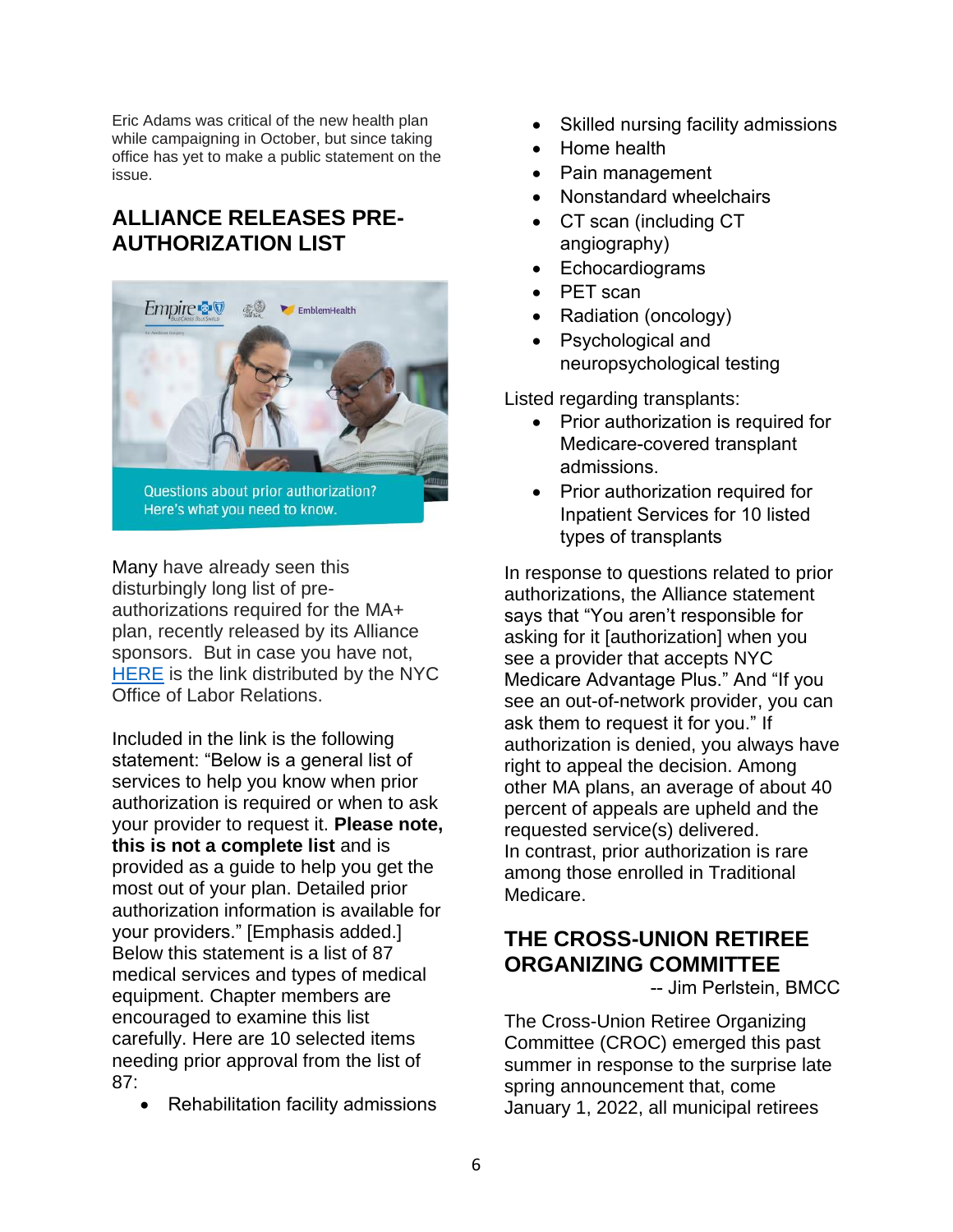Eric Adams was critical of the new health plan while campaigning in October, but since taking office has yet to make a public statement on the issue.

## **ALLIANCE RELEASES PRE-AUTHORIZATION LIST**



Many have already seen this disturbingly long list of preauthorizations required for the MA+ plan, recently released by its Alliance sponsors. But in case you have not, [HERE](https://www1.nyc.gov/assets/olr/downloads/pdf/health/3876290%201036200NYMENEBS%20GRS%20CoNY%20Prior%20Authorization%20FAQs%2009%2021%20(002).pdf) is the link distributed by the NYC Office of Labor Relations.

Included in the link is the following statement: "Below is a general list of services to help you know when prior authorization is required or when to ask your provider to request it. **Please note, this is not a complete list** and is provided as a guide to help you get the most out of your plan. Detailed prior authorization information is available for your providers." [Emphasis added.] Below this statement is a list of 87 medical services and types of medical equipment. Chapter members are encouraged to examine this list carefully. Here are 10 selected items needing prior approval from the list of 87:

• Rehabilitation facility admissions

- Skilled nursing facility admissions
- Home health
- Pain management
- Nonstandard wheelchairs
- CT scan (including CT angiography)
- **Echocardiograms**
- PET scan
- Radiation (oncology)
- Psychological and neuropsychological testing

Listed regarding transplants:

- Prior authorization is required for Medicare-covered transplant admissions.
- Prior authorization required for Inpatient Services for 10 listed types of transplants

In response to questions related to prior authorizations, the Alliance statement says that "You aren't responsible for asking for it [authorization] when you see a provider that accepts NYC Medicare Advantage Plus." And "If you see an out-of-network provider, you can ask them to request it for you." If authorization is denied, you always have right to appeal the decision. Among other MA plans, an average of about 40 percent of appeals are upheld and the requested service(s) delivered. In contrast, prior authorization is rare among those enrolled in Traditional Medicare.

## **THE CROSS-UNION RETIREE ORGANIZING COMMITTEE**

-- Jim Perlstein, BMCC

The Cross-Union Retiree Organizing Committee (CROC) emerged this past summer in response to the surprise late spring announcement that, come January 1, 2022, all municipal retirees